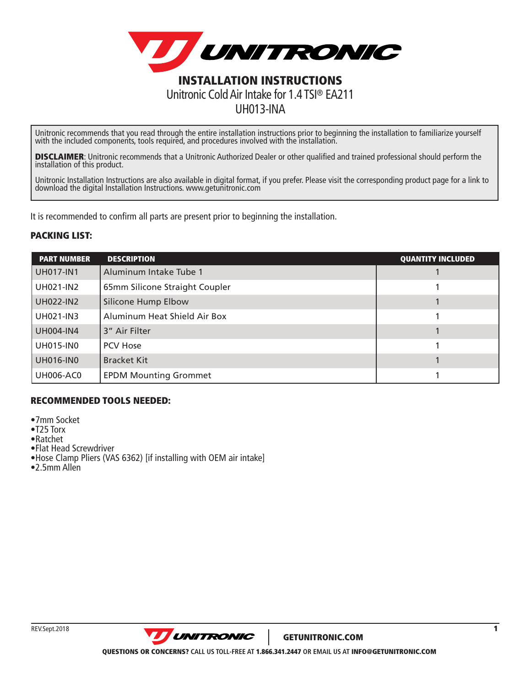

UH013-INA

Unitronic recommends that you read through the entire installation instructions prior to beginning the installation to familiarize yourself with the included components, tools required, and procedures involved with the installation.

**DISCLAIMER:** Unitronic recommends that a Unitronic Authorized Dealer or other qualified and trained professional should perform the installation of this product.

Unitronic Installation Instructions are also available in digital format, if you prefer. Please visit the corresponding product page for a link to download the digital Installation Instructions. www.getunitronic.com

It is recommended to confirm all parts are present prior to beginning the installation.

## PACKING LIST:

| <b>PART NUMBER</b> | <b>DESCRIPTION</b>             | <b>QUANTITY INCLUDED</b> |
|--------------------|--------------------------------|--------------------------|
| <b>UH017-IN1</b>   | Aluminum Intake Tube 1         |                          |
| <b>UH021-IN2</b>   | 65mm Silicone Straight Coupler |                          |
| <b>UH022-IN2</b>   | Silicone Hump Elbow            |                          |
| <b>UH021-IN3</b>   | Aluminum Heat Shield Air Box   |                          |
| <b>UH004-IN4</b>   | 3" Air Filter                  |                          |
| <b>UH015-IN0</b>   | <b>PCV Hose</b>                |                          |
| <b>UH016-IN0</b>   | <b>Bracket Kit</b>             |                          |
| <b>UH006-AC0</b>   | <b>EPDM Mounting Grommet</b>   |                          |

## RECOMMENDED TOOLS NEEDED:

- •7mm Socket
- •T25 Torx
- •Ratchet
- •Flat Head Screwdriver
- •Hose Clamp Pliers (VAS 6362) [if installing with OEM air intake]
- •2.5mm Allen

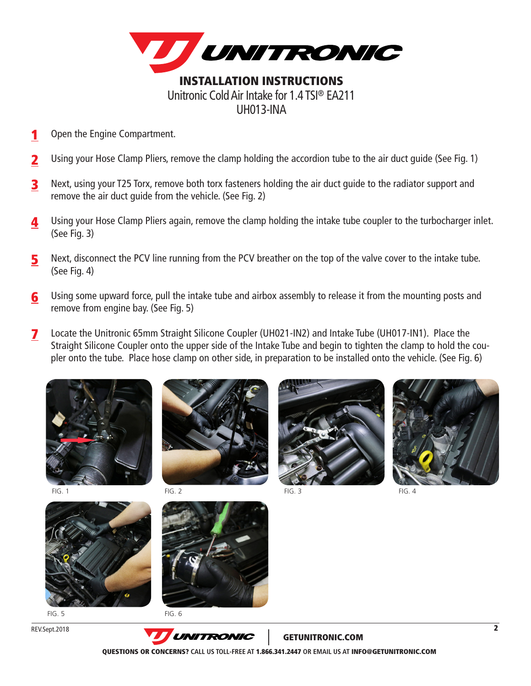

- 1 Open the Engine Compartment.
- Using your Hose Clamp Pliers, remove the clamp holding the accordion tube to the air duct guide (See Fig. 1) 2
- Next, using your T25 Torx, remove both torx fasteners holding the air duct guide to the radiator support and remove the air duct guide from the vehicle. (See Fig. 2) 3
- Using your Hose Clamp Pliers again, remove the clamp holding the intake tube coupler to the turbocharger inlet. (See Fig. 3) 4
- Next, disconnect the PCV line running from the PCV breather on the top of the valve cover to the intake tube. (See Fig. 4) 5
- Using some upward force, pull the intake tube and airbox assembly to release it from the mounting posts and remove from engine bay. (See Fig. 5) 6
- Locate the Unitronic 65mm Straight Silicone Coupler (UH021-IN2) and Intake Tube (UH017-IN1). Place the Straight Silicone Coupler onto the upper side of the Intake Tube and begin to tighten the clamp to hold the coupler onto the tube. Place hose clamp on other side, in preparation to be installed onto the vehicle. (See Fig. 6) 7





FIG. 2



FIG. 1 FIG. 2 FIG. 2 FIG. 3 FIG. 4 FIG. 4 FIG. 4



 $F/G$   $F$ 

REV.Sept.2018



FIG. 6



GETUNITRONIC.COM

QUESTIONS OR CONCERNS? **CALL US TOLL-FREE AT** 1.866.341.2447 **OR EMAIL US AT** INFO@GETUNITRONIC.COM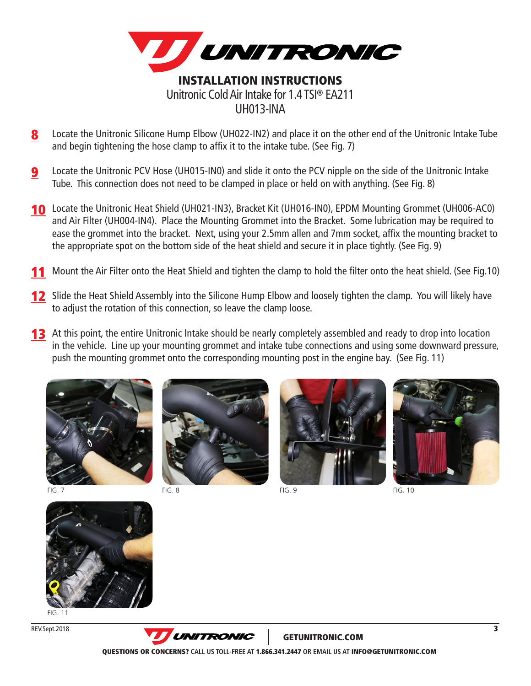

- 8 Locate the Unitronic Silicone Hump Elbow (UH022-IN2) and place it on the other end of the Unitronic Intake Tube and begin tightening the hose clamp to affix it to the intake tube. (See Fig. 7)
- Locate the Unitronic PCV Hose (UH015-IN0) and slide it onto the PCV nipple on the side of the Unitronic Intake Tube. This connection does not need to be clamped in place or held on with anything. (See Fig. 8) 9
- 10 Locate the Unitronic Heat Shield (UH021-IN3), Bracket Kit (UH016-IN0), EPDM Mounting Grommet (UH006-AC0) and Air Filter (UH004-IN4). Place the Mounting Grommet into the Bracket. Some lubrication may be required to ease the grommet into the bracket. Next, using your 2.5mm allen and 7mm socket, affix the mounting bracket to the appropriate spot on the bottom side of the heat shield and secure it in place tightly. (See Fig. 9)
- Mount the Air Filter onto the Heat Shield and tighten the clamp to hold the filter onto the heat shield. (See Fig.10) 11
- **12** Slide the Heat Shield Assembly into the Silicone Hump Elbow and loosely tighten the clamp. You will likely have to adjust the rotation of this connection, so leave the clamp loose.
- **13** At this point, the entire Unitronic Intake should be nearly completely assembled and ready to drop into location in the vehicle. Line up your mounting grommet and intake tube connections and using some downward pressure, push the mounting grommet onto the corresponding mounting post in the engine bay. (See Fig. 11)





 $FIG. 8$ 





FIG. 9 FIG. 10



 $FIG. 11$ 

REV.Sept.2018



GETUNITRONIC.COM